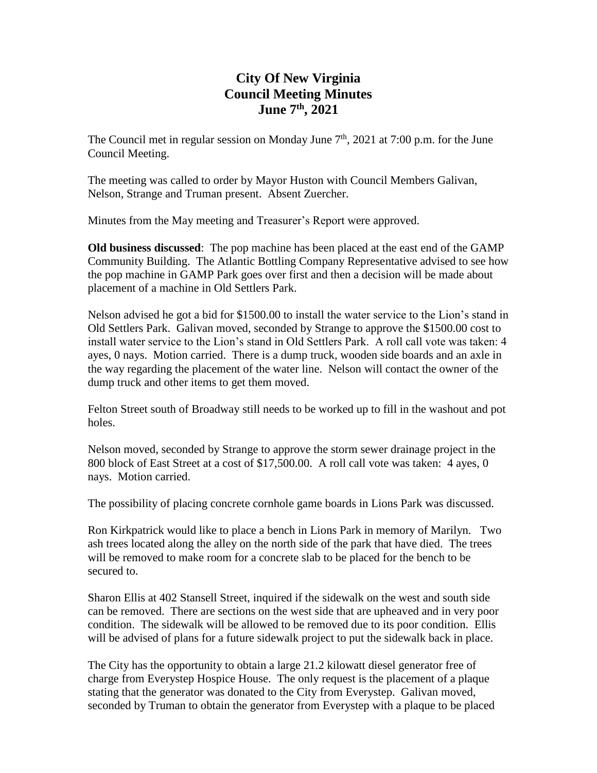## **City Of New Virginia Council Meeting Minutes June 7th , 2021**

The Council met in regular session on Monday June  $7<sup>th</sup>$ , 2021 at 7:00 p.m. for the June Council Meeting.

The meeting was called to order by Mayor Huston with Council Members Galivan, Nelson, Strange and Truman present. Absent Zuercher.

Minutes from the May meeting and Treasurer's Report were approved.

**Old business discussed**: The pop machine has been placed at the east end of the GAMP Community Building. The Atlantic Bottling Company Representative advised to see how the pop machine in GAMP Park goes over first and then a decision will be made about placement of a machine in Old Settlers Park.

Nelson advised he got a bid for \$1500.00 to install the water service to the Lion's stand in Old Settlers Park. Galivan moved, seconded by Strange to approve the \$1500.00 cost to install water service to the Lion's stand in Old Settlers Park. A roll call vote was taken: 4 ayes, 0 nays. Motion carried. There is a dump truck, wooden side boards and an axle in the way regarding the placement of the water line. Nelson will contact the owner of the dump truck and other items to get them moved.

Felton Street south of Broadway still needs to be worked up to fill in the washout and pot holes.

Nelson moved, seconded by Strange to approve the storm sewer drainage project in the 800 block of East Street at a cost of \$17,500.00. A roll call vote was taken: 4 ayes, 0 nays. Motion carried.

The possibility of placing concrete cornhole game boards in Lions Park was discussed.

Ron Kirkpatrick would like to place a bench in Lions Park in memory of Marilyn. Two ash trees located along the alley on the north side of the park that have died. The trees will be removed to make room for a concrete slab to be placed for the bench to be secured to.

Sharon Ellis at 402 Stansell Street, inquired if the sidewalk on the west and south side can be removed. There are sections on the west side that are upheaved and in very poor condition. The sidewalk will be allowed to be removed due to its poor condition. Ellis will be advised of plans for a future sidewalk project to put the sidewalk back in place.

The City has the opportunity to obtain a large 21.2 kilowatt diesel generator free of charge from Everystep Hospice House. The only request is the placement of a plaque stating that the generator was donated to the City from Everystep. Galivan moved, seconded by Truman to obtain the generator from Everystep with a plaque to be placed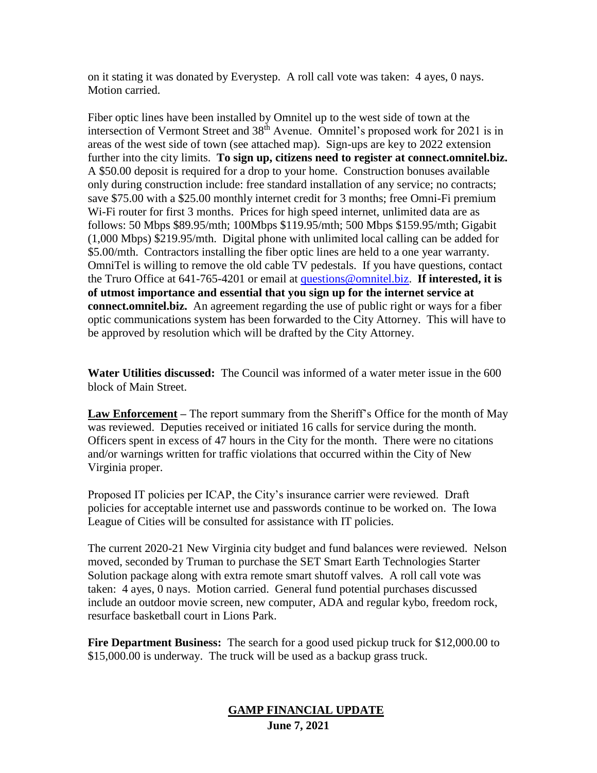on it stating it was donated by Everystep. A roll call vote was taken: 4 ayes, 0 nays. Motion carried.

Fiber optic lines have been installed by Omnitel up to the west side of town at the intersection of Vermont Street and 38<sup>th</sup> Avenue. Omnitel's proposed work for 2021 is in areas of the west side of town (see attached map). Sign-ups are key to 2022 extension further into the city limits. **To sign up, citizens need to register at connect.omnitel.biz.** A \$50.00 deposit is required for a drop to your home. Construction bonuses available only during construction include: free standard installation of any service; no contracts; save \$75.00 with a \$25.00 monthly internet credit for 3 months; free Omni-Fi premium Wi-Fi router for first 3 months. Prices for high speed internet, unlimited data are as follows: 50 Mbps \$89.95/mth; 100Mbps \$119.95/mth; 500 Mbps \$159.95/mth; Gigabit (1,000 Mbps) \$219.95/mth. Digital phone with unlimited local calling can be added for \$5.00/mth. Contractors installing the fiber optic lines are held to a one year warranty. OmniTel is willing to remove the old cable TV pedestals. If you have questions, contact the Truro Office at 641-765-4201 or email at [questions@omnitel.biz.](mailto:questions@omnitel.biz) **If interested, it is of utmost importance and essential that you sign up for the internet service at connect.omnitel.biz.** An agreement regarding the use of public right or ways for a fiber optic communications system has been forwarded to the City Attorney. This will have to be approved by resolution which will be drafted by the City Attorney.

**Water Utilities discussed:** The Council was informed of a water meter issue in the 600 block of Main Street.

**Law Enforcement –** The report summary from the Sheriff's Office for the month of May was reviewed. Deputies received or initiated 16 calls for service during the month. Officers spent in excess of 47 hours in the City for the month. There were no citations and/or warnings written for traffic violations that occurred within the City of New Virginia proper.

Proposed IT policies per ICAP, the City's insurance carrier were reviewed. Draft policies for acceptable internet use and passwords continue to be worked on. The Iowa League of Cities will be consulted for assistance with IT policies.

The current 2020-21 New Virginia city budget and fund balances were reviewed. Nelson moved, seconded by Truman to purchase the SET Smart Earth Technologies Starter Solution package along with extra remote smart shutoff valves. A roll call vote was taken: 4 ayes, 0 nays. Motion carried. General fund potential purchases discussed include an outdoor movie screen, new computer, ADA and regular kybo, freedom rock, resurface basketball court in Lions Park.

**Fire Department Business:** The search for a good used pickup truck for \$12,000.00 to \$15,000.00 is underway. The truck will be used as a backup grass truck.

## **GAMP FINANCIAL UPDATE June 7, 2021**